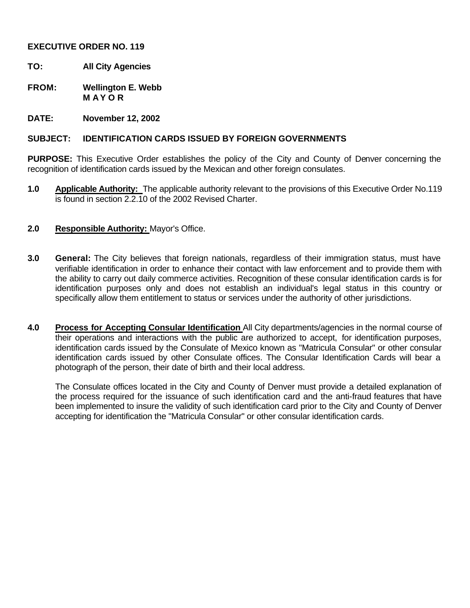## **EXECUTIVE ORDER NO. 119**

- **TO: All City Agencies**
- **FROM: Wellington E. Webb M A Y O R**
- **DATE: November 12, 2002**

## **SUBJECT: IDENTIFICATION CARDS ISSUED BY FOREIGN GOVERNMENTS**

**PURPOSE:** This Executive Order establishes the policy of the City and County of Denver concerning the recognition of identification cards issued by the Mexican and other foreign consulates.

- **1.0 Applicable Authority:** The applicable authority relevant to the provisions of this Executive Order No.119 is found in section 2.2.10 of the 2002 Revised Charter.
- **2.0 Responsible Authority:** Mayor's Office.
- **3.0 General:** The City believes that foreign nationals, regardless of their immigration status, must have verifiable identification in order to enhance their contact with law enforcement and to provide them with the ability to carry out daily commerce activities. Recognition of these consular identification cards is for identification purposes only and does not establish an individual's legal status in this country or specifically allow them entitlement to status or services under the authority of other jurisdictions.
- **4.0 Process for Accepting Consular Identification** All City departments/agencies in the normal course of their operations and interactions with the public are authorized to accept, for identification purposes, identification cards issued by the Consulate of Mexico known as "Matricula Consular" or other consular identification cards issued by other Consulate offices. The Consular Identification Cards will bear a photograph of the person, their date of birth and their local address.

The Consulate offices located in the City and County of Denver must provide a detailed explanation of the process required for the issuance of such identification card and the anti-fraud features that have been implemented to insure the validity of such identification card prior to the City and County of Denver accepting for identification the "Matricula Consular" or other consular identification cards.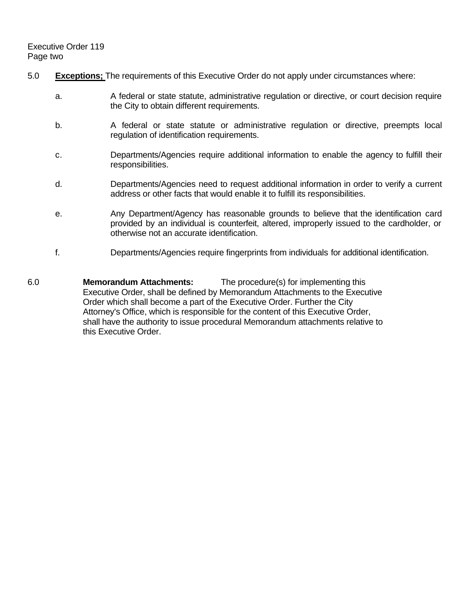- 5.0 **Exceptions;** The requirements of this Executive Order do not apply under circumstances where:
	- a. A federal or state statute, administrative regulation or directive, or court decision require the City to obtain different requirements.
	- b. A federal or state statute or administrative regulation or directive, preempts local regulation of identification requirements.
	- c. Departments/Agencies require additional information to enable the agency to fulfill their responsibilities.
	- d. Departments/Agencies need to request additional information in order to verify a current address or other facts that would enable it to fulfill its responsibilities.
	- e. Any Department/Agency has reasonable grounds to believe that the identification card provided by an individual is counterfeit, altered, improperly issued to the cardholder, or otherwise not an accurate identification.
	- f. Departments/Agencies require fingerprints from individuals for additional identification.
- 6.0 **Memorandum Attachments:** The procedure(s) for implementing this Executive Order, shall be defined by Memorandum Attachments to the Executive Order which shall become a part of the Executive Order. Further the City Attorney's Office, which is responsible for the content of this Executive Order, shall have the authority to issue procedural Memorandum attachments relative to this Executive Order.